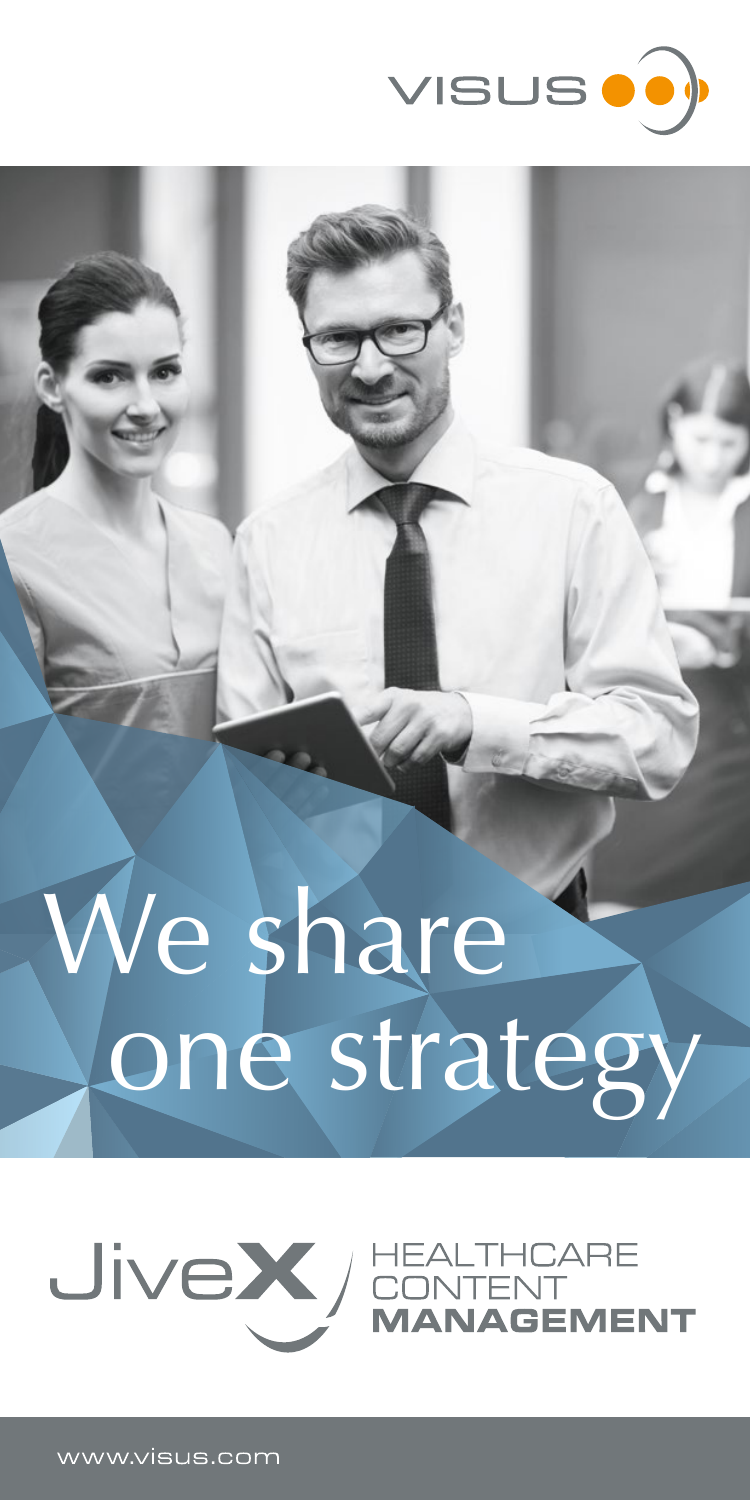

# We share one strategy

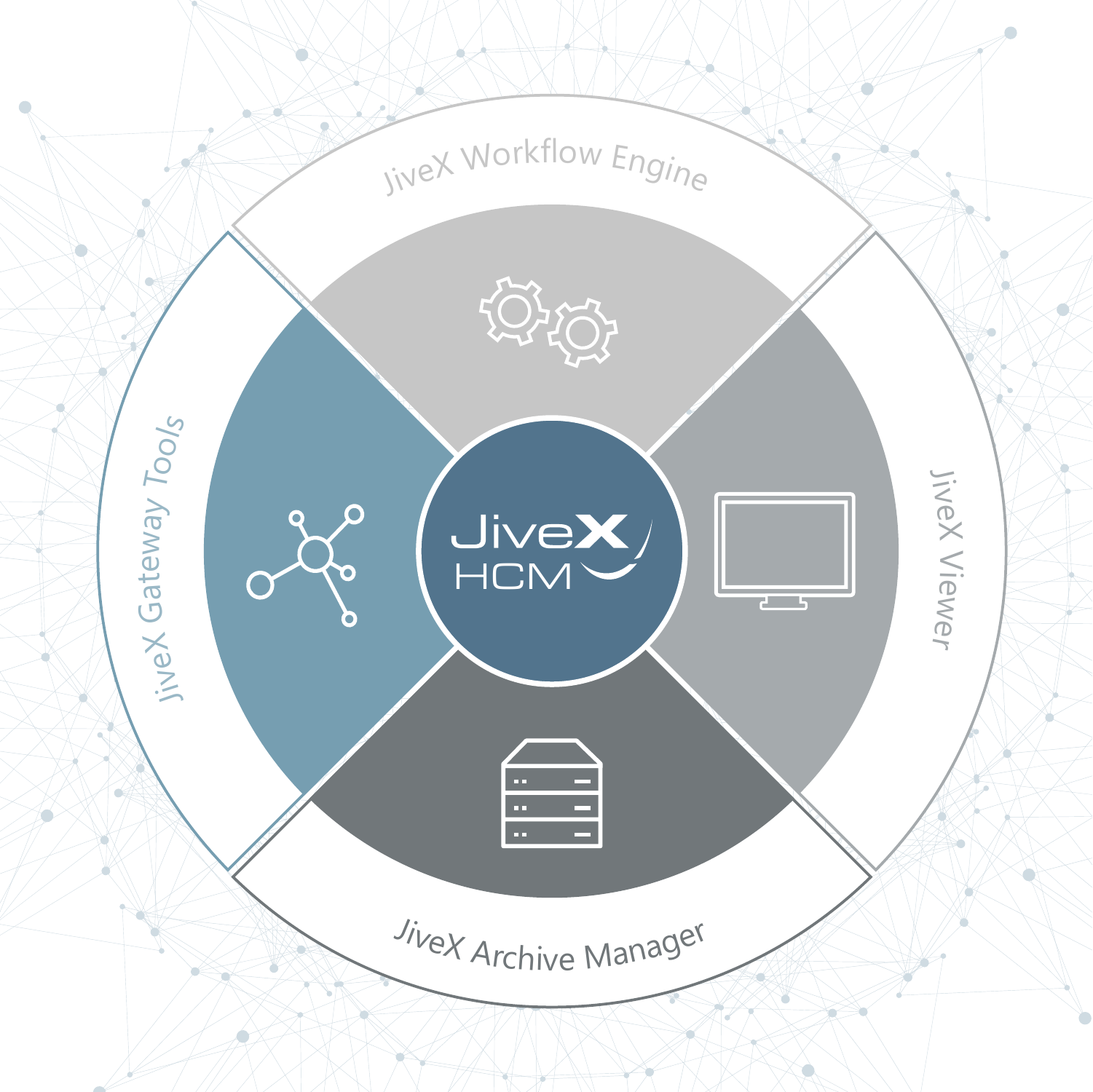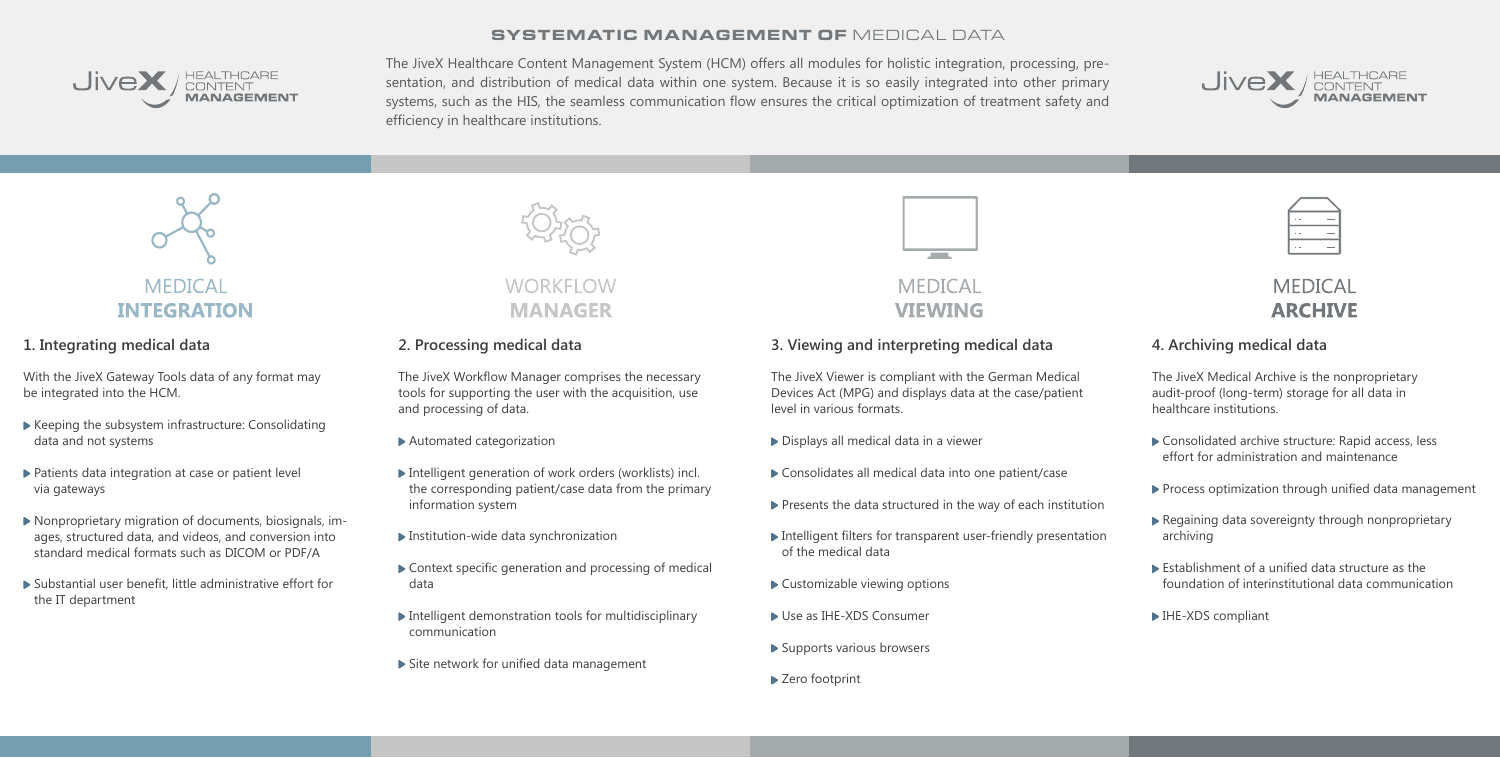SYSTEMATIC MANAGEMENT OF MEDICAL DATA



## HEALTHCARE<br>CONTENT<br>**MANAGEMENT**

The JiveX Healthcare Content Management System (HCM) offers all modules for holistic integration, processing, presentation, and distribution of medical data within one system. Because it is so easily integrated into other primary systems, such as the HIS, the seamless communication flow ensures the critical optimization of treatment safety and efficiency in healthcare institutions.

#### **1. Integrating medical data**

With the JiveX Gateway Tools data of any format may be integrated into the HCM.

- Keeping the subsystem infrastructure: Consolidating data and not systems
- ▶ Patients data integration at case or patient level via gateways
- Nonproprietary migration of documents, biosignals, images, structured data, and videos, and conversion into standard medical formats such as DICOM or PDF/A
- Substantial user benefit, little administrative effort for the IT department



### **WORKELOW MANAGER**

- Displays all medical data in a viewer
- ▶ Consolidates all medical data into one patient/case
- $\blacktriangleright$  Presents the data structured in the way of each institution
- Intelligent filters for transparent user-friendly presentation of the medical data
- ▶ Customizable viewing options
- Use as IHE-XDS Consumer
- ▶ Supports various browsers
- ▶ Zero footprint







#### **2. Processing medical data**

The JiveX Workflow Manager comprises the necessary tools for supporting the user with the acquisition, use and processing of data.

- Consolidated archive structure: Rapid access, less effort for administration and maintenance
- $\blacktriangleright$  Process optimization through unified data management
- ▶ Regaining data sovereignty through nonproprietary archiving
- Establishment of a unified data structure as the foundation of interinstitutional data communication
- ▶ IHE-XDS compliant
- Automated categorization
- ▶ Intelligent generation of work orders (worklists) incl. the corresponding patient/case data from the primary information system
- Institution-wide data synchronization
- Context specific generation and processing of medical data
- $\blacktriangleright$  Intelligent demonstration tools for multidisciplinary communication
- Site network for unified data management



#### **MEDICAL VIEWING**

#### **3. Viewing and interpreting medical data**

The JiveX Viewer is compliant with the German Medical Devices Act (MPG) and displays data at the case/patient level in various formats.

#### **4. Archiving medical data**

The JiveX Medical Archive is the nonproprietary audit-proof (long-term) storage for all data in healthcare institutions.